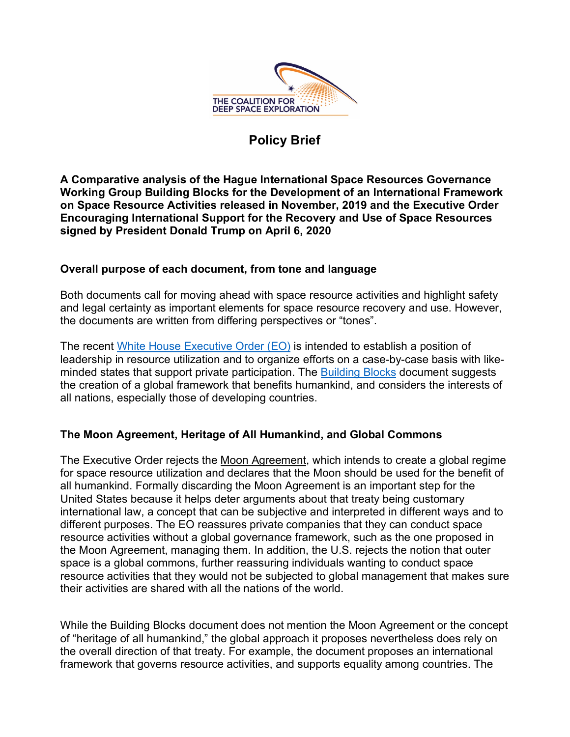

## **Policy Brief**

**A Comparative analysis of the Hague International Space Resources Governance Working Group Building Blocks for the Development of an International Framework on Space Resource Activities released in November, 2019 and the Executive Order Encouraging International Support for the Recovery and Use of Space Resources signed by President Donald Trump on April 6, 2020**

## **Overall purpose of each document, from tone and language**

Both documents call for moving ahead with space resource activities and highlight safety and legal certainty as important elements for space resource recovery and use. However, the documents are written from differing perspectives or "tones".

The recent White House Executive Order (EO) is intended to establish a position of leadership in resource utilization and to organize efforts on a case-by-case basis with likeminded states that support private participation. The Building Blocks document suggests the creation of a global framework that benefits humankind, and considers the interests of all nations, especially those of developing countries.

## **The Moon Agreement, Heritage of All Humankind, and Global Commons**

The Executive Order rejects the Moon Agreement, which intends to create a global regime for space resource utilization and declares that the Moon should be used for the benefit of all humankind. Formally discarding the Moon Agreement is an important step for the United States because it helps deter arguments about that treaty being customary international law, a concept that can be subjective and interpreted in different ways and to different purposes. The EO reassures private companies that they can conduct space resource activities without a global governance framework, such as the one proposed in the Moon Agreement, managing them. In addition, the U.S. rejects the notion that outer space is a global commons, further reassuring individuals wanting to conduct space resource activities that they would not be subjected to global management that makes sure their activities are shared with all the nations of the world.

While the Building Blocks document does not mention the Moon Agreement or the concept of "heritage of all humankind," the global approach it proposes nevertheless does rely on the overall direction of that treaty. For example, the document proposes an international framework that governs resource activities, and supports equality among countries. The